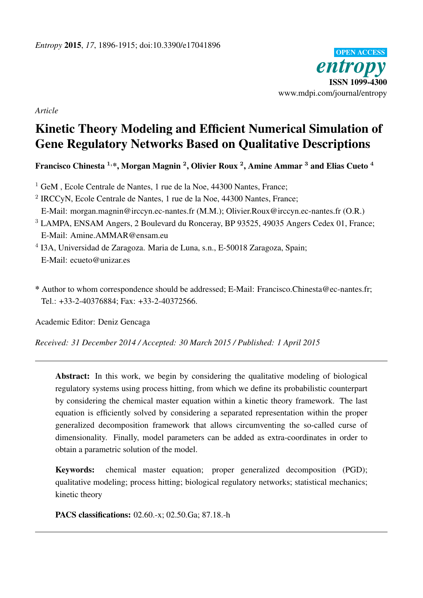

*Article*

# Kinetic Theory Modeling and Efficient Numerical Simulation of Gene Regulatory Networks Based on Qualitative Descriptions

Francisco Chinesta  $^{1,\ast},$  Morgan Magnin  $^{2},$  Olivier Roux  $^{2},$  Amine Ammar  $^{3}$  and Elias Cueto  $^{4}$ 

<sup>1</sup> GeM, Ecole Centrale de Nantes, 1 rue de la Noe, 44300 Nantes, France;

- <sup>2</sup> IRCCyN, Ecole Centrale de Nantes, 1 rue de la Noe, 44300 Nantes, France;
- E-Mail: morgan.magnin@irccyn.ec-nantes.fr (M.M.); Olivier.Roux@irccyn.ec-nantes.fr (O.R.)
- <sup>3</sup> LAMPA, ENSAM Angers, 2 Boulevard du Ronceray, BP 93525, 49035 Angers Cedex 01, France; E-Mail: Amine.AMMAR@ensam.eu
- 4 I3A, Universidad de Zaragoza. Maria de Luna, s.n., E-50018 Zaragoza, Spain; E-Mail: ecueto@unizar.es

\* Author to whom correspondence should be addressed; E-Mail: Francisco.Chinesta@ec-nantes.fr; Tel.: +33-2-40376884; Fax: +33-2-40372566.

Academic Editor: Deniz Gencaga

*Received: 31 December 2014 / Accepted: 30 March 2015 / Published: 1 April 2015*

Abstract: In this work, we begin by considering the qualitative modeling of biological regulatory systems using process hitting, from which we define its probabilistic counterpart by considering the chemical master equation within a kinetic theory framework. The last equation is efficiently solved by considering a separated representation within the proper generalized decomposition framework that allows circumventing the so-called curse of dimensionality. Finally, model parameters can be added as extra-coordinates in order to obtain a parametric solution of the model.

Keywords: chemical master equation; proper generalized decomposition (PGD); qualitative modeling; process hitting; biological regulatory networks; statistical mechanics; kinetic theory

PACS classifications: 02.60.-x; 02.50.Ga; 87.18.-h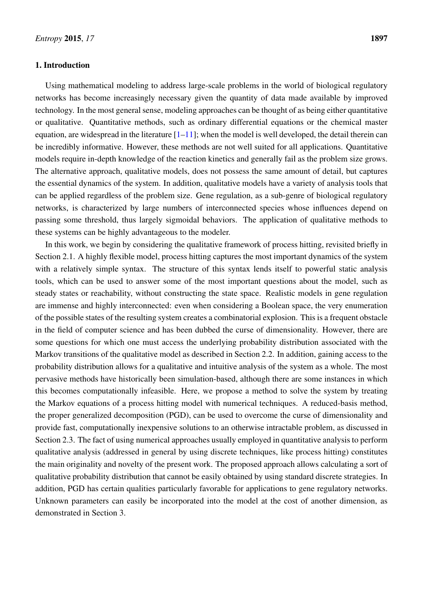# 1. Introduction

Using mathematical modeling to address large-scale problems in the world of biological regulatory networks has become increasingly necessary given the quantity of data made available by improved technology. In the most general sense, modeling approaches can be thought of as being either quantitative or qualitative. Quantitative methods, such as ordinary differential equations or the chemical master equation, are widespread in the literature  $[1-11]$  $[1-11]$ ; when the model is well developed, the detail therein can be incredibly informative. However, these methods are not well suited for all applications. Quantitative models require in-depth knowledge of the reaction kinetics and generally fail as the problem size grows. The alternative approach, qualitative models, does not possess the same amount of detail, but captures the essential dynamics of the system. In addition, qualitative models have a variety of analysis tools that can be applied regardless of the problem size. Gene regulation, as a sub-genre of biological regulatory networks, is characterized by large numbers of interconnected species whose influences depend on passing some threshold, thus largely sigmoidal behaviors. The application of qualitative methods to these systems can be highly advantageous to the modeler.

In this work, we begin by considering the qualitative framework of process hitting, revisited briefly in Section 2.1. A highly flexible model, process hitting captures the most important dynamics of the system with a relatively simple syntax. The structure of this syntax lends itself to powerful static analysis tools, which can be used to answer some of the most important questions about the model, such as steady states or reachability, without constructing the state space. Realistic models in gene regulation are immense and highly interconnected: even when considering a Boolean space, the very enumeration of the possible states of the resulting system creates a combinatorial explosion. This is a frequent obstacle in the field of computer science and has been dubbed the curse of dimensionality. However, there are some questions for which one must access the underlying probability distribution associated with the Markov transitions of the qualitative model as described in Section 2.2. In addition, gaining access to the probability distribution allows for a qualitative and intuitive analysis of the system as a whole. The most pervasive methods have historically been simulation-based, although there are some instances in which this becomes computationally infeasible. Here, we propose a method to solve the system by treating the Markov equations of a process hitting model with numerical techniques. A reduced-basis method, the proper generalized decomposition (PGD), can be used to overcome the curse of dimensionality and provide fast, computationally inexpensive solutions to an otherwise intractable problem, as discussed in Section 2.3. The fact of using numerical approaches usually employed in quantitative analysis to perform qualitative analysis (addressed in general by using discrete techniques, like process hitting) constitutes the main originality and novelty of the present work. The proposed approach allows calculating a sort of qualitative probability distribution that cannot be easily obtained by using standard discrete strategies. In addition, PGD has certain qualities particularly favorable for applications to gene regulatory networks. Unknown parameters can easily be incorporated into the model at the cost of another dimension, as demonstrated in Section 3.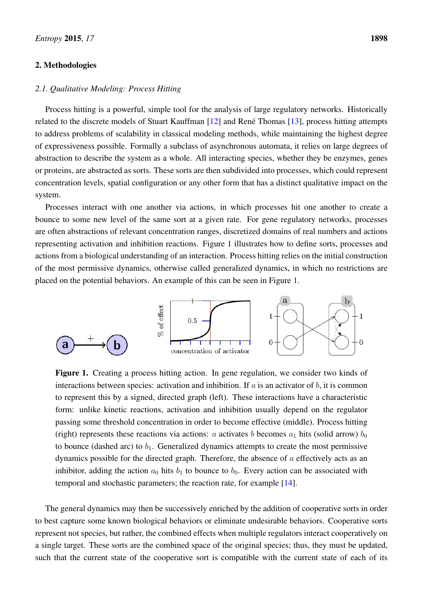#### 2. Methodologies

# *2.1. Qualitative Modeling: Process Hitting*

Process hitting is a powerful, simple tool for the analysis of large regulatory networks. Historically related to the discrete models of Stuart Kauffman [\[12\]](#page-18-1) and René Thomas [\[13\]](#page-18-2), process hitting attempts to address problems of scalability in classical modeling methods, while maintaining the highest degree of expressiveness possible. Formally a subclass of asynchronous automata, it relies on large degrees of abstraction to describe the system as a whole. All interacting species, whether they be enzymes, genes or proteins, are abstracted as sorts. These sorts are then subdivided into processes, which could represent concentration levels, spatial configuration or any other form that has a distinct qualitative impact on the system.

Processes interact with one another via actions, in which processes hit one another to create a bounce to some new level of the same sort at a given rate. For gene regulatory networks, processes are often abstractions of relevant concentration ranges, discretized domains of real numbers and actions representing activation and inhibition reactions. Figure 1 illustrates how to define sorts, processes and actions from a biological understanding of an interaction. Process hitting relies on the initial construction of the most permissive dynamics, otherwise called generalized dynamics, in which no restrictions are placed on the potential behaviors. An example of this can be seen in Figure [1.](#page-2-0)

<span id="page-2-0"></span>

Figure 1. Creating a process hitting action. In gene regulation, we consider two kinds of interactions between species: activation and inhibition. If  $a$  is an activator of  $b$ , it is common to represent this by a signed, directed graph (left). These interactions have a characteristic form: unlike kinetic reactions, activation and inhibition usually depend on the regulator passing some threshold concentration in order to become effective (middle). Process hitting (right) represents these reactions via actions: a activates b becomes  $a_1$  hits (solid arrow)  $b_0$ to bounce (dashed arc) to  $b_1$ . Generalized dynamics attempts to create the most permissive dynamics possible for the directed graph. Therefore, the absence of  $a$  effectively acts as an inhibitor, adding the action  $a_0$  hits  $b_1$  to bounce to  $b_0$ . Every action can be associated with temporal and stochastic parameters; the reaction rate, for example [\[14\]](#page-18-3).

The general dynamics may then be successively enriched by the addition of cooperative sorts in order to best capture some known biological behaviors or eliminate undesirable behaviors. Cooperative sorts represent not species, but rather, the combined effects when multiple regulators interact cooperatively on a single target. These sorts are the combined space of the original species; thus, they must be updated, such that the current state of the cooperative sort is compatible with the current state of each of its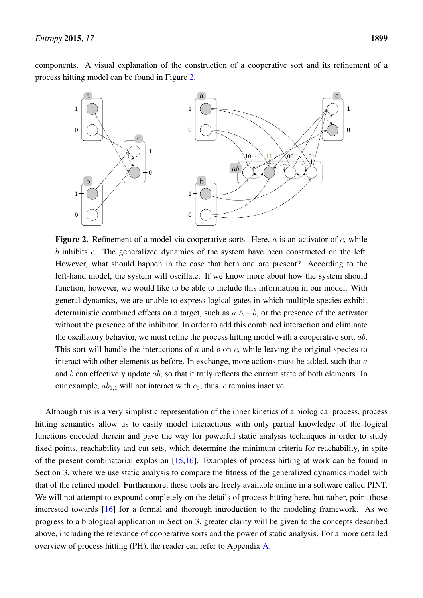<span id="page-3-0"></span>components. A visual explanation of the construction of a cooperative sort and its refinement of a process hitting model can be found in Figure [2.](#page-3-0)



**Figure 2.** Refinement of a model via cooperative sorts. Here,  $a$  is an activator of  $c$ , while b inhibits c. The generalized dynamics of the system have been constructed on the left. However, what should happen in the case that both and are present? According to the left-hand model, the system will oscillate. If we know more about how the system should function, however, we would like to be able to include this information in our model. With general dynamics, we are unable to express logical gates in which multiple species exhibit deterministic combined effects on a target, such as  $a \wedge -b$ , or the presence of the activator without the presence of the inhibitor. In order to add this combined interaction and eliminate the oscillatory behavior, we must refine the process hitting model with a cooperative sort, ab. This sort will handle the interactions of  $a$  and  $b$  on  $c$ , while leaving the original species to interact with other elements as before. In exchange, more actions must be added, such that  $a$ and  $b$  can effectively update  $ab$ , so that it truly reflects the current state of both elements. In our example,  $ab_{1,1}$  will not interact with  $c_0$ ; thus, c remains inactive.

Although this is a very simplistic representation of the inner kinetics of a biological process, process hitting semantics allow us to easily model interactions with only partial knowledge of the logical functions encoded therein and pave the way for powerful static analysis techniques in order to study fixed points, reachability and cut sets, which determine the minimum criteria for reachability, in spite of the present combinatorial explosion [\[15,](#page-18-4)[16\]](#page-18-5). Examples of process hitting at work can be found in Section 3, where we use static analysis to compare the fitness of the generalized dynamics model with that of the refined model. Furthermore, these tools are freely available online in a software called PINT. We will not attempt to expound completely on the details of process hitting here, but rather, point those interested towards [\[16\]](#page-18-5) for a formal and thorough introduction to the modeling framework. As we progress to a biological application in Section 3, greater clarity will be given to the concepts described above, including the relevance of cooperative sorts and the power of static analysis. For a more detailed overview of process hitting (PH), the reader can refer to Appendix [A.](#page-12-0)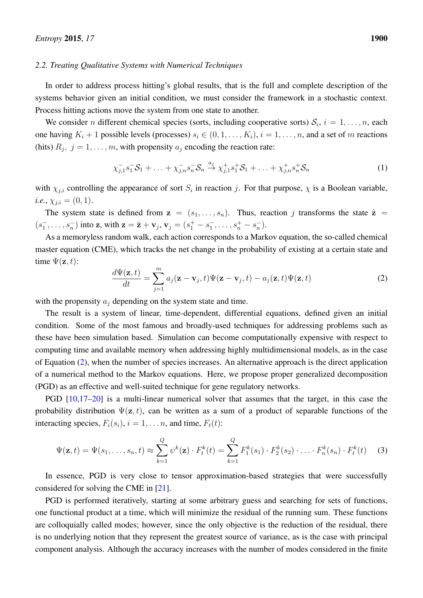#### *2.2. Treating Qualitative Systems with Numerical Techniques*

In order to address process hitting's global results, that is the full and complete description of the systems behavior given an initial condition, we must consider the framework in a stochastic context. Process hitting actions move the system from one state to another.

We consider *n* different chemical species (sorts, including cooperative sorts)  $S_i$ ,  $i = 1, \ldots, n$ , each one having  $K_i + 1$  possible levels (processes)  $s_i \in (0, 1, \ldots, K_i)$ ,  $i = 1, \ldots, n$ , and a set of m reactions (hits)  $R_j$ ,  $j = 1, \ldots, m$ , with propensity  $a_j$  encoding the reaction rate:

<span id="page-4-1"></span>
$$
\chi_{j,1}^{-} s_1^{-} \mathcal{S}_1 + \ldots + \chi_{j,n}^{-} s_n^{-} \mathcal{S}_n \xrightarrow{a_j} \chi_{j,1}^{+} s_1^{+} \mathcal{S}_1 + \ldots + \chi_{j,n}^{+} s_n^{+} \mathcal{S}_n
$$
 (1)

with  $\chi_{j,i}$  controlling the appearance of sort  $S_i$  in reaction j. For that purpose,  $\chi$  is a Boolean variable, *i.e.*,  $\chi_{j,i} = (0,1)$ .

The system state is defined from  $z = (s_1, \ldots, s_n)$ . Thus, reaction j transforms the state  $\hat{z} =$  $(s_1^-, \ldots, s_n^-)$  into z, with  $\mathbf{z} = \hat{\mathbf{z}} + \mathbf{v}_j$ ,  $\mathbf{v}_j = (s_1^+ - s_1^-, \ldots, s_n^+ - s_n^-)$ .

As a memoryless random walk, each action corresponds to a Markov equation, the so-called chemical master equation (CME), which tracks the net change in the probability of existing at a certain state and time  $\Psi(\mathbf{z}, t)$ :

<span id="page-4-0"></span>
$$
\frac{d\Psi(\mathbf{z},t)}{dt} = \sum_{j=1}^{m} a_j (\mathbf{z} - \mathbf{v}_j, t) \Psi(\mathbf{z} - \mathbf{v}_j, t) - a_j (\mathbf{z}, t) \Psi(\mathbf{z}, t)
$$
(2)

with the propensity  $a_i$  depending on the system state and time.

The result is a system of linear, time-dependent, differential equations, defined given an initial condition. Some of the most famous and broadly-used techniques for addressing problems such as these have been simulation based. Simulation can become computationally expensive with respect to computing time and available memory when addressing highly multidimensional models, as in the case of Equation [\(2\)](#page-4-0), when the number of species increases. An alternative approach is the direct application of a numerical method to the Markov equations. Here, we propose proper generalized decomposition (PGD) as an effective and well-suited technique for gene regulatory networks.

PGD [\[10,](#page-18-6)[17–](#page-18-7)[20\]](#page-18-8) is a multi-linear numerical solver that assumes that the target, in this case the probability distribution  $\Psi(z, t)$ , can be written as a sum of a product of separable functions of the interacting species,  $F_i(s_i)$ ,  $i = 1, \ldots n$ , and time,  $F_i(t)$ :

<span id="page-4-2"></span>
$$
\Psi(\mathbf{z},t) = \Psi(s_1,\ldots,s_n,t) \approx \sum_{k=1}^{Q} \psi^k(\mathbf{z}) \cdot F_t^k(t) = \sum_{k=1}^{Q} F_1^k(s_1) \cdot F_2^k(s_2) \cdot \ldots \cdot F_n^k(s_n) \cdot F_t^k(t)
$$
(3)

In essence, PGD is very close to tensor approximation-based strategies that were successfully considered for solving the CME in [\[21\]](#page-18-9).

PGD is performed iteratively, starting at some arbitrary guess and searching for sets of functions, one functional product at a time, which will minimize the residual of the running sum. These functions are colloquially called modes; however, since the only objective is the reduction of the residual, there is no underlying notion that they represent the greatest source of variance, as is the case with principal component analysis. Although the accuracy increases with the number of modes considered in the finite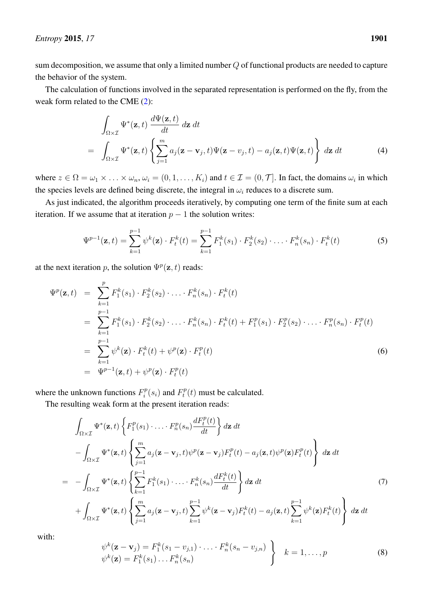sum decomposition, we assume that only a limited number  $Q$  of functional products are needed to capture the behavior of the system.

The calculation of functions involved in the separated representation is performed on the fly, from the weak form related to the CME [\(2\)](#page-4-0):

$$
\int_{\Omega \times \mathcal{I}} \Psi^*(\mathbf{z}, t) \frac{d\Psi(\mathbf{z}, t)}{dt} d\mathbf{z} dt
$$
\n
$$
= \int_{\Omega \times \mathcal{I}} \Psi^*(\mathbf{z}, t) \left\{ \sum_{j=1}^m a_j (\mathbf{z} - \mathbf{v}_j, t) \Psi(\mathbf{z} - v_j, t) - a_j (\mathbf{z}, t) \Psi(\mathbf{z}, t) \right\} d\mathbf{z} dt
$$
\n(4)

where  $z \in \Omega = \omega_1 \times \ldots \times \omega_n$ ,  $\omega_i = (0, 1, \ldots, K_i)$  and  $t \in \mathcal{I} = (0, \mathcal{T}]$ . In fact, the domains  $\omega_i$  in which the species levels are defined being discrete, the integral in  $\omega_i$  reduces to a discrete sum.

As just indicated, the algorithm proceeds iteratively, by computing one term of the finite sum at each iteration. If we assume that at iteration  $p - 1$  the solution writes:

$$
\Psi^{p-1}(\mathbf{z},t) = \sum_{k=1}^{p-1} \psi^k(\mathbf{z}) \cdot F_t^k(t) = \sum_{k=1}^{p-1} F_1^k(s_1) \cdot F_2^k(s_2) \cdot \ldots \cdot F_n^k(s_n) \cdot F_t^k(t)
$$
(5)

at the next iteration p, the solution  $\Psi^p(\mathbf{z}, t)$  reads:

$$
\Psi^{p}(\mathbf{z},t) = \sum_{k=1}^{p} F_{1}^{k}(s_{1}) \cdot F_{2}^{k}(s_{2}) \cdot \ldots \cdot F_{n}^{k}(s_{n}) \cdot F_{t}^{k}(t)
$$
\n
$$
= \sum_{k=1}^{p-1} F_{1}^{k}(s_{1}) \cdot F_{2}^{k}(s_{2}) \cdot \ldots \cdot F_{n}^{k}(s_{n}) \cdot F_{t}^{k}(t) + F_{1}^{p}(s_{1}) \cdot F_{2}^{p}(s_{2}) \cdot \ldots \cdot F_{n}^{p}(s_{n}) \cdot F_{t}^{p}(t)
$$
\n
$$
= \sum_{k=1}^{p-1} \psi^{k}(\mathbf{z}) \cdot F_{t}^{k}(t) + \psi^{p}(\mathbf{z}) \cdot F_{t}^{p}(t)
$$
\n
$$
= \Psi^{p-1}(\mathbf{z},t) + \psi^{p}(\mathbf{z}) \cdot F_{t}^{p}(t)
$$
\n(6)

where the unknown functions  $F_i^p$  $F_i^p(s_i)$  and  $F_i^p$  $t_t^p(t)$  must be calculated.

The resulting weak form at the present iteration reads:

<span id="page-5-0"></span>
$$
\int_{\Omega \times \mathcal{I}} \Psi^*(\mathbf{z}, t) \left\{ F_1^p(s_1) \cdot \ldots \cdot F_n^p(s_n) \frac{dF_t^p(t)}{dt} \right\} d\mathbf{z} dt \n- \int_{\Omega \times \mathcal{I}} \Psi^*(\mathbf{z}, t) \left\{ \sum_{j=1}^m a_j (\mathbf{z} - \mathbf{v}_j, t) \psi^p(\mathbf{z} - \mathbf{v}_j) F_t^p(t) - a_j (\mathbf{z}, t) \psi^p(\mathbf{z}) F_t^p(t) \right\} d\mathbf{z} dt \n= - \int_{\Omega \times \mathcal{I}} \Psi^*(\mathbf{z}, t) \left\{ \sum_{k=1}^{p-1} F_1^k(s_1) \cdot \ldots \cdot F_n^k(s_n) \frac{dF_t^k(t)}{dt} \right\} d\mathbf{z} dt \n+ \int_{\Omega \times \mathcal{I}} \Psi^*(\mathbf{z}, t) \left\{ \sum_{j=1}^m a_j (\mathbf{z} - \mathbf{v}_j, t) \sum_{k=1}^{p-1} \psi^k(\mathbf{z} - \mathbf{v}_j) F_t^k(t) - a_j (\mathbf{z}, t) \sum_{k=1}^{p-1} \psi^k(\mathbf{z}) F_t^k(t) \right\} d\mathbf{z} dt
$$
\n(7)

with:

$$
\psi^k(\mathbf{z}-\mathbf{v}_j)=F_1^k(s_1-v_{j,1})\cdot\ldots\cdot F_n^k(s_n-v_{j,n})\left.\begin{matrix} \& j\end{matrix}\right\}\quad k=1,\ldots,p
$$
\n
$$
\psi^k(\mathbf{z})=F_1^k(s_1)\ldots F_n^k(s_n)
$$
\n
$$
(8)
$$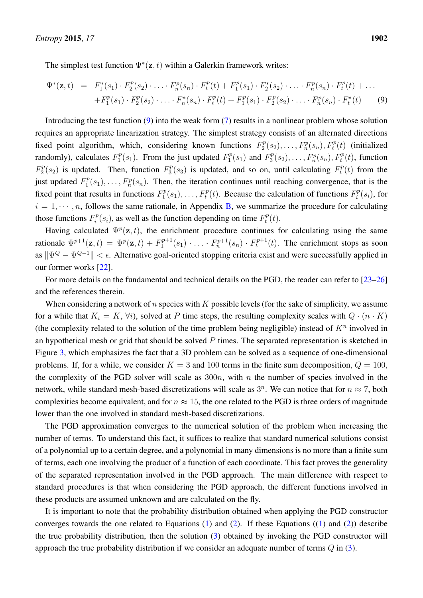<span id="page-6-0"></span>
$$
\Psi^*(\mathbf{z},t) = F_1^*(s_1) \cdot F_2^p(s_2) \cdot \ldots \cdot F_n^p(s_n) \cdot F_t^p(t) + F_1^p(s_1) \cdot F_2^*(s_2) \cdot \ldots \cdot F_n^p(s_n) \cdot F_t^p(t) + \ldots \n+ F_1^p(s_1) \cdot F_2^p(s_2) \cdot \ldots \cdot F_n^*(s_n) \cdot F_t^p(t) + F_1^p(s_1) \cdot F_2^p(s_2) \cdot \ldots \cdot F_n^p(s_n) \cdot F_t^*(t)
$$
\n(9)

Introducing the test function [\(9\)](#page-6-0) into the weak form [\(7\)](#page-5-0) results in a nonlinear problem whose solution requires an appropriate linearization strategy. The simplest strategy consists of an alternated directions fixed point algorithm, which, considering known functions  $F_2^p$  $F_2^p(s_2), \ldots, F_n^p(s_n), F_t^p(t)$  (initialized randomly), calculates  $F_1^p$  $T_1^p(s_1)$ . From the just updated  $F_1^p$  $T_1^p(s_1)$  and  $F_3^p$  $F_3^p(s_2), \ldots, F_n^p(s_n), F_t^p(t)$ , function  $F_2^p$  $2^p(z_2)$  is updated. Then, function  $F_3^p$  $S_3^p(s_3)$  is updated, and so on, until calculating  $F_t^p$  $t_t^p(t)$  from the just updated  $F_1^p$  $T_1^p(s_1), \ldots, F_n^p(s_n)$ . Then, the iteration continues until reaching convergence, that is the fixed point that results in functions  $F_1^p$  $T_1^p(s_1), \ldots, F_t^p(t)$ . Because the calculation of functions  $F_i^p$  $\zeta_i^p(s_i)$ , for  $i = 1, \dots, n$ , follows the same rationale, in Appendix [B,](#page-15-0) we summarize the procedure for calculating those functions  $F_i^p$  $i^p(s_i)$ , as well as the function depending on time  $F_t^p$  $t^p(t).$ 

Having calculated  $\Psi^p(z, t)$ , the enrichment procedure continues for calculating using the same rationale  $\Psi^{p+1}(\mathbf{z},t) = \Psi^p(\mathbf{z},t) + F_1^{p+1}$  $T_1^{p+1}(s_1)\cdot \ldots \cdot F_n^{p+1}(s_n) \cdot F_t^{p+1}$  $t_t^{p+1}(t)$ . The enrichment stops as soon as  $\|\Psi^Q - \Psi^{Q-1}\| < \epsilon$ . Alternative goal-oriented stopping criteria exist and were successfully applied in our former works [\[22\]](#page-19-0).

For more details on the fundamental and technical details on the PGD, the reader can refer to [\[23–](#page-19-1)[26\]](#page-19-2) and the references therein.

When considering a network of n species with  $K$  possible levels (for the sake of simplicity, we assume for a while that  $K_i = K$ ,  $\forall i$ , solved at P time steps, the resulting complexity scales with  $Q \cdot (n \cdot K)$ (the complexity related to the solution of the time problem being negligible) instead of  $K<sup>n</sup>$  involved in an hypothetical mesh or grid that should be solved  $P$  times. The separated representation is sketched in Figure [3,](#page-7-0) which emphasizes the fact that a 3D problem can be solved as a sequence of one-dimensional problems. If, for a while, we consider  $K = 3$  and 100 terms in the finite sum decomposition,  $Q = 100$ , the complexity of the PGD solver will scale as  $300n$ , with n the number of species involved in the network, while standard mesh-based discretizations will scale as  $3<sup>n</sup>$ . We can notice that for  $n \approx 7$ , both complexities become equivalent, and for  $n \approx 15$ , the one related to the PGD is three orders of magnitude lower than the one involved in standard mesh-based discretizations.

The PGD approximation converges to the numerical solution of the problem when increasing the number of terms. To understand this fact, it suffices to realize that standard numerical solutions consist of a polynomial up to a certain degree, and a polynomial in many dimensions is no more than a finite sum of terms, each one involving the product of a function of each coordinate. This fact proves the generality of the separated representation involved in the PGD approach. The main difference with respect to standard procedures is that when considering the PGD approach, the different functions involved in these products are assumed unknown and are calculated on the fly.

It is important to note that the probability distribution obtained when applying the PGD constructor converges towards the one related to Equations  $(1)$  and  $(2)$ . If these Equations  $((1)$  and  $(2))$  describe the true probability distribution, then the solution [\(3\)](#page-4-2) obtained by invoking the PGD constructor will approach the true probability distribution if we consider an adequate number of terms  $Q$  in [\(3\)](#page-4-2).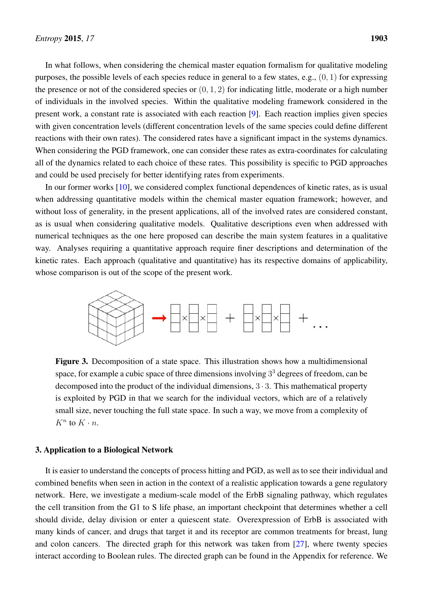In what follows, when considering the chemical master equation formalism for qualitative modeling purposes, the possible levels of each species reduce in general to a few states, e.g.,  $(0, 1)$  for expressing the presence or not of the considered species or  $(0, 1, 2)$  for indicating little, moderate or a high number of individuals in the involved species. Within the qualitative modeling framework considered in the present work, a constant rate is associated with each reaction [\[9\]](#page-18-10). Each reaction implies given species with given concentration levels (different concentration levels of the same species could define different reactions with their own rates). The considered rates have a significant impact in the systems dynamics. When considering the PGD framework, one can consider these rates as extra-coordinates for calculating all of the dynamics related to each choice of these rates. This possibility is specific to PGD approaches and could be used precisely for better identifying rates from experiments.

In our former works [\[10\]](#page-18-6), we considered complex functional dependences of kinetic rates, as is usual when addressing quantitative models within the chemical master equation framework; however, and without loss of generality, in the present applications, all of the involved rates are considered constant, as is usual when considering qualitative models. Qualitative descriptions even when addressed with numerical techniques as the one here proposed can describe the main system features in a qualitative way. Analyses requiring a quantitative approach require finer descriptions and determination of the kinetic rates. Each approach (qualitative and quantitative) has its respective domains of applicability, whose comparison is out of the scope of the present work.

<span id="page-7-0"></span>

Figure 3. Decomposition of a state space. This illustration shows how a multidimensional space, for example a cubic space of three dimensions involving  $3<sup>3</sup>$  degrees of freedom, can be decomposed into the product of the individual dimensions,  $3 \cdot 3$ . This mathematical property is exploited by PGD in that we search for the individual vectors, which are of a relatively small size, never touching the full state space. In such a way, we move from a complexity of  $K^n$  to  $K \cdot n$ .

### 3. Application to a Biological Network

It is easier to understand the concepts of process hitting and PGD, as well as to see their individual and combined benefits when seen in action in the context of a realistic application towards a gene regulatory network. Here, we investigate a medium-scale model of the ErbB signaling pathway, which regulates the cell transition from the G1 to S life phase, an important checkpoint that determines whether a cell should divide, delay division or enter a quiescent state. Overexpression of ErbB is associated with many kinds of cancer, and drugs that target it and its receptor are common treatments for breast, lung and colon cancers. The directed graph for this network was taken from [\[27\]](#page-19-3), where twenty species interact according to Boolean rules. The directed graph can be found in the Appendix for reference. We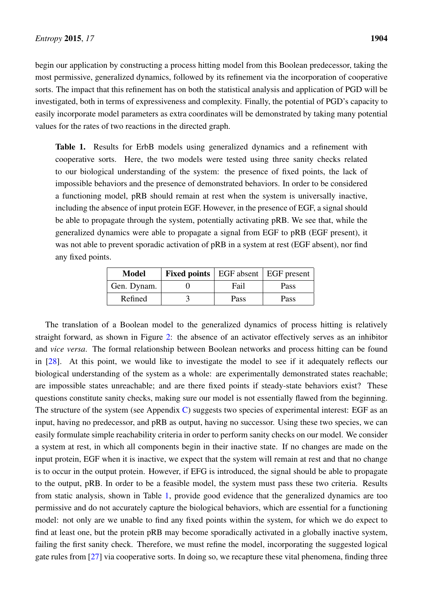begin our application by constructing a process hitting model from this Boolean predecessor, taking the most permissive, generalized dynamics, followed by its refinement via the incorporation of cooperative sorts. The impact that this refinement has on both the statistical analysis and application of PGD will be investigated, both in terms of expressiveness and complexity. Finally, the potential of PGD's capacity to easily incorporate model parameters as extra coordinates will be demonstrated by taking many potential values for the rates of two reactions in the directed graph.

<span id="page-8-0"></span>Table 1. Results for ErbB models using generalized dynamics and a refinement with cooperative sorts. Here, the two models were tested using three sanity checks related to our biological understanding of the system: the presence of fixed points, the lack of impossible behaviors and the presence of demonstrated behaviors. In order to be considered a functioning model, pRB should remain at rest when the system is universally inactive, including the absence of input protein EGF. However, in the presence of EGF, a signal should be able to propagate through the system, potentially activating pRB. We see that, while the generalized dynamics were able to propagate a signal from EGF to pRB (EGF present), it was not able to prevent sporadic activation of pRB in a system at rest (EGF absent), nor find any fixed points.

| <b>Model</b> | <b>Fixed points</b>   EGF absent   EGF present |      |      |
|--------------|------------------------------------------------|------|------|
| Gen. Dynam.  |                                                | Fail | Pass |
| Refined      |                                                | Pass | Pass |

The translation of a Boolean model to the generalized dynamics of process hitting is relatively straight forward, as shown in Figure [2:](#page-3-0) the absence of an activator effectively serves as an inhibitor and *vice versa*. The formal relationship between Boolean networks and process hitting can be found in [\[28\]](#page-19-4). At this point, we would like to investigate the model to see if it adequately reflects our biological understanding of the system as a whole: are experimentally demonstrated states reachable; are impossible states unreachable; and are there fixed points if steady-state behaviors exist? These questions constitute sanity checks, making sure our model is not essentially flawed from the beginning. The structure of the system (see Appendix [C\)](#page-16-0) suggests two species of experimental interest: EGF as an input, having no predecessor, and pRB as output, having no successor. Using these two species, we can easily formulate simple reachability criteria in order to perform sanity checks on our model. We consider a system at rest, in which all components begin in their inactive state. If no changes are made on the input protein, EGF when it is inactive, we expect that the system will remain at rest and that no change is to occur in the output protein. However, if EFG is introduced, the signal should be able to propagate to the output, pRB. In order to be a feasible model, the system must pass these two criteria. Results from static analysis, shown in Table [1,](#page-8-0) provide good evidence that the generalized dynamics are too permissive and do not accurately capture the biological behaviors, which are essential for a functioning model: not only are we unable to find any fixed points within the system, for which we do expect to find at least one, but the protein pRB may become sporadically activated in a globally inactive system, failing the first sanity check. Therefore, we must refine the model, incorporating the suggested logical gate rules from [\[27\]](#page-19-3) via cooperative sorts. In doing so, we recapture these vital phenomena, finding three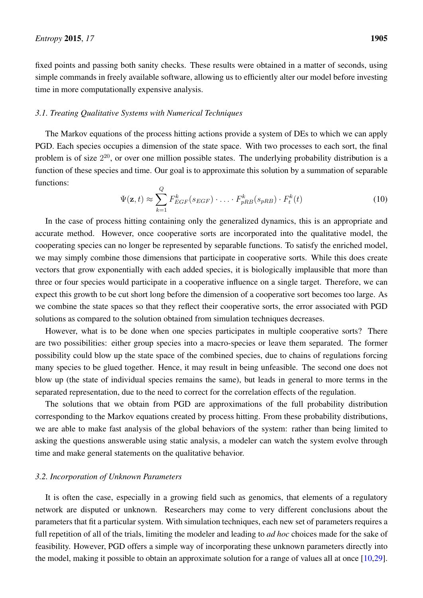fixed points and passing both sanity checks. These results were obtained in a matter of seconds, using simple commands in freely available software, allowing us to efficiently alter our model before investing time in more computationally expensive analysis.

## *3.1. Treating Qualitative Systems with Numerical Techniques*

The Markov equations of the process hitting actions provide a system of DEs to which we can apply PGD. Each species occupies a dimension of the state space. With two processes to each sort, the final problem is of size  $2^{20}$ , or over one million possible states. The underlying probability distribution is a function of these species and time. Our goal is to approximate this solution by a summation of separable functions:

$$
\Psi(\mathbf{z},t) \approx \sum_{k=1}^{Q} F_{EGF}^k(s_{EGF}) \cdot \ldots \cdot F_{pRB}^k(s_{pRB}) \cdot F_t^k(t)
$$
\n(10)

In the case of process hitting containing only the generalized dynamics, this is an appropriate and accurate method. However, once cooperative sorts are incorporated into the qualitative model, the cooperating species can no longer be represented by separable functions. To satisfy the enriched model, we may simply combine those dimensions that participate in cooperative sorts. While this does create vectors that grow exponentially with each added species, it is biologically implausible that more than three or four species would participate in a cooperative influence on a single target. Therefore, we can expect this growth to be cut short long before the dimension of a cooperative sort becomes too large. As we combine the state spaces so that they reflect their cooperative sorts, the error associated with PGD solutions as compared to the solution obtained from simulation techniques decreases.

However, what is to be done when one species participates in multiple cooperative sorts? There are two possibilities: either group species into a macro-species or leave them separated. The former possibility could blow up the state space of the combined species, due to chains of regulations forcing many species to be glued together. Hence, it may result in being unfeasible. The second one does not blow up (the state of individual species remains the same), but leads in general to more terms in the separated representation, due to the need to correct for the correlation effects of the regulation.

The solutions that we obtain from PGD are approximations of the full probability distribution corresponding to the Markov equations created by process hitting. From these probability distributions, we are able to make fast analysis of the global behaviors of the system: rather than being limited to asking the questions answerable using static analysis, a modeler can watch the system evolve through time and make general statements on the qualitative behavior.

### *3.2. Incorporation of Unknown Parameters*

It is often the case, especially in a growing field such as genomics, that elements of a regulatory network are disputed or unknown. Researchers may come to very different conclusions about the parameters that fit a particular system. With simulation techniques, each new set of parameters requires a full repetition of all of the trials, limiting the modeler and leading to *ad hoc* choices made for the sake of feasibility. However, PGD offers a simple way of incorporating these unknown parameters directly into the model, making it possible to obtain an approximate solution for a range of values all at once [\[10,](#page-18-6)[29\]](#page-19-5).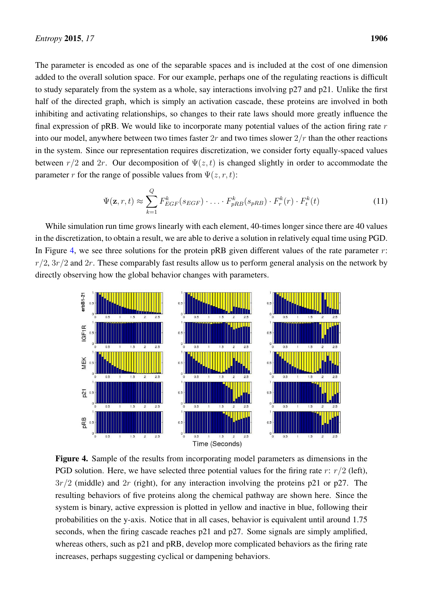The parameter is encoded as one of the separable spaces and is included at the cost of one dimension added to the overall solution space. For our example, perhaps one of the regulating reactions is difficult to study separately from the system as a whole, say interactions involving p27 and p21. Unlike the first half of the directed graph, which is simply an activation cascade, these proteins are involved in both inhibiting and activating relationships, so changes to their rate laws should more greatly influence the final expression of pRB. We would like to incorporate many potential values of the action firing rate  $r$ into our model, anywhere between two times faster  $2r$  and two times slower  $2/r$  than the other reactions in the system. Since our representation requires discretization, we consider forty equally-spaced values between  $r/2$  and  $2r$ . Our decomposition of  $\Psi(z, t)$  is changed slightly in order to accommodate the parameter r for the range of possible values from  $\Psi(z, r, t)$ :

$$
\Psi(\mathbf{z},r,t) \approx \sum_{k=1}^{Q} F_{EGF}^k(s_{EGF}) \cdot \ldots \cdot F_{pRB}^k(s_{pRB}) \cdot F_r^k(r) \cdot F_t^k(t)
$$
\n(11)

While simulation run time grows linearly with each element, 40-times longer since there are 40 values in the discretization, to obtain a result, we are able to derive a solution in relatively equal time using PGD. In Figure [4,](#page-10-0) we see three solutions for the protein pRB given different values of the rate parameter  $r$ :  $r/2$ ,  $3r/2$  and  $2r$ . These comparably fast results allow us to perform general analysis on the network by directly observing how the global behavior changes with parameters.

<span id="page-10-0"></span>

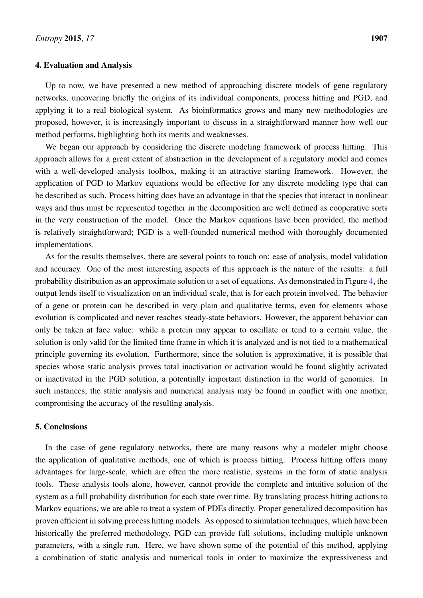#### 4. Evaluation and Analysis

Up to now, we have presented a new method of approaching discrete models of gene regulatory networks, uncovering briefly the origins of its individual components, process hitting and PGD, and applying it to a real biological system. As bioinformatics grows and many new methodologies are proposed, however, it is increasingly important to discuss in a straightforward manner how well our method performs, highlighting both its merits and weaknesses.

We began our approach by considering the discrete modeling framework of process hitting. This approach allows for a great extent of abstraction in the development of a regulatory model and comes with a well-developed analysis toolbox, making it an attractive starting framework. However, the application of PGD to Markov equations would be effective for any discrete modeling type that can be described as such. Process hitting does have an advantage in that the species that interact in nonlinear ways and thus must be represented together in the decomposition are well defined as cooperative sorts in the very construction of the model. Once the Markov equations have been provided, the method is relatively straightforward; PGD is a well-founded numerical method with thoroughly documented implementations.

As for the results themselves, there are several points to touch on: ease of analysis, model validation and accuracy. One of the most interesting aspects of this approach is the nature of the results: a full probability distribution as an approximate solution to a set of equations. As demonstrated in Figure [4,](#page-10-0) the output lends itself to visualization on an individual scale, that is for each protein involved. The behavior of a gene or protein can be described in very plain and qualitative terms, even for elements whose evolution is complicated and never reaches steady-state behaviors. However, the apparent behavior can only be taken at face value: while a protein may appear to oscillate or tend to a certain value, the solution is only valid for the limited time frame in which it is analyzed and is not tied to a mathematical principle governing its evolution. Furthermore, since the solution is approximative, it is possible that species whose static analysis proves total inactivation or activation would be found slightly activated or inactivated in the PGD solution, a potentially important distinction in the world of genomics. In such instances, the static analysis and numerical analysis may be found in conflict with one another, compromising the accuracy of the resulting analysis.

# 5. Conclusions

In the case of gene regulatory networks, there are many reasons why a modeler might choose the application of qualitative methods, one of which is process hitting. Process hitting offers many advantages for large-scale, which are often the more realistic, systems in the form of static analysis tools. These analysis tools alone, however, cannot provide the complete and intuitive solution of the system as a full probability distribution for each state over time. By translating process hitting actions to Markov equations, we are able to treat a system of PDEs directly. Proper generalized decomposition has proven efficient in solving process hitting models. As opposed to simulation techniques, which have been historically the preferred methodology, PGD can provide full solutions, including multiple unknown parameters, with a single run. Here, we have shown some of the potential of this method, applying a combination of static analysis and numerical tools in order to maximize the expressiveness and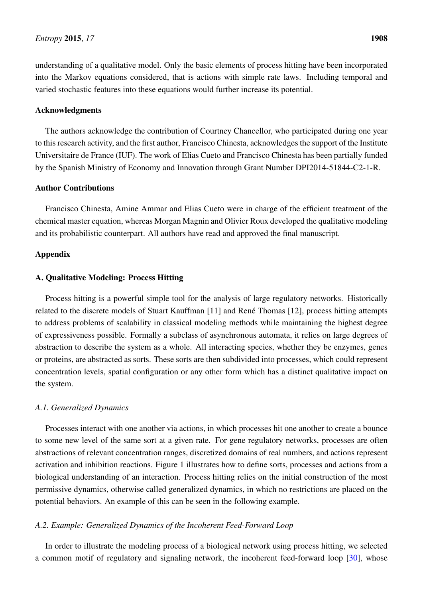understanding of a qualitative model. Only the basic elements of process hitting have been incorporated into the Markov equations considered, that is actions with simple rate laws. Including temporal and varied stochastic features into these equations would further increase its potential.

### Acknowledgments

The authors acknowledge the contribution of Courtney Chancellor, who participated during one year to this research activity, and the first author, Francisco Chinesta, acknowledges the support of the Institute Universitaire de France (IUF). The work of Elias Cueto and Francisco Chinesta has been partially funded by the Spanish Ministry of Economy and Innovation through Grant Number DPI2014-51844-C2-1-R.

# Author Contributions

Francisco Chinesta, Amine Ammar and Elias Cueto were in charge of the efficient treatment of the chemical master equation, whereas Morgan Magnin and Olivier Roux developed the qualitative modeling and its probabilistic counterpart. All authors have read and approved the final manuscript.

# Appendix

#### <span id="page-12-0"></span>A. Qualitative Modeling: Process Hitting

Process hitting is a powerful simple tool for the analysis of large regulatory networks. Historically related to the discrete models of Stuart Kauffman [11] and René Thomas [12], process hitting attempts to address problems of scalability in classical modeling methods while maintaining the highest degree of expressiveness possible. Formally a subclass of asynchronous automata, it relies on large degrees of abstraction to describe the system as a whole. All interacting species, whether they be enzymes, genes or proteins, are abstracted as sorts. These sorts are then subdivided into processes, which could represent concentration levels, spatial configuration or any other form which has a distinct qualitative impact on the system.

### *A.1. Generalized Dynamics*

Processes interact with one another via actions, in which processes hit one another to create a bounce to some new level of the same sort at a given rate. For gene regulatory networks, processes are often abstractions of relevant concentration ranges, discretized domains of real numbers, and actions represent activation and inhibition reactions. Figure 1 illustrates how to define sorts, processes and actions from a biological understanding of an interaction. Process hitting relies on the initial construction of the most permissive dynamics, otherwise called generalized dynamics, in which no restrictions are placed on the potential behaviors. An example of this can be seen in the following example.

# *A.2. Example: Generalized Dynamics of the Incoherent Feed-Forward Loop*

In order to illustrate the modeling process of a biological network using process hitting, we selected a common motif of regulatory and signaling network, the incoherent feed-forward loop [\[30\]](#page-19-6), whose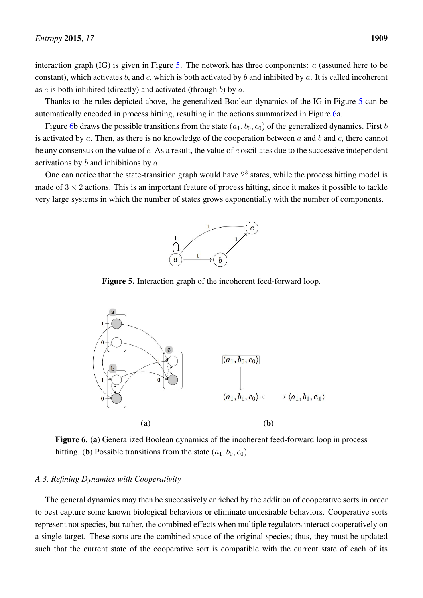interaction graph (IG) is given in Figure [5.](#page-13-0) The network has three components:  $a$  (assumed here to be constant), which activates b, and c, which is both activated by b and inhibited by a. It is called incoherent as c is both inhibited (directly) and activated (through  $b$ ) by  $a$ .

Thanks to the rules depicted above, the generalized Boolean dynamics of the IG in Figure [5](#page-13-0) can be automatically encoded in process hitting, resulting in the actions summarized in Figure [6a](#page-13-1).

Figure [6b](#page-13-1) draws the possible transitions from the state  $(a_1, b_0, c_0)$  of the generalized dynamics. First b is activated by  $a$ . Then, as there is no knowledge of the cooperation between  $a$  and  $b$  and  $c$ , there cannot be any consensus on the value of  $c$ . As a result, the value of  $c$  oscillates due to the successive independent activations by  $b$  and inhibitions by  $a$ .

<span id="page-13-0"></span>One can notice that the state-transition graph would have  $2<sup>3</sup>$  states, while the process hitting model is made of  $3 \times 2$  actions. This is an important feature of process hitting, since it makes it possible to tackle very large systems in which the number of states grows exponentially with the number of components.



Figure 5. Interaction graph of the incoherent feed-forward loop.

<span id="page-13-1"></span>

Figure 6. (a) Generalized Boolean dynamics of the incoherent feed-forward loop in process hitting. (b) Possible transitions from the state  $(a_1, b_0, c_0)$ .

# *A.3. Refining Dynamics with Cooperativity*

The general dynamics may then be successively enriched by the addition of cooperative sorts in order to best capture some known biological behaviors or eliminate undesirable behaviors. Cooperative sorts represent not species, but rather, the combined effects when multiple regulators interact cooperatively on a single target. These sorts are the combined space of the original species; thus, they must be updated such that the current state of the cooperative sort is compatible with the current state of each of its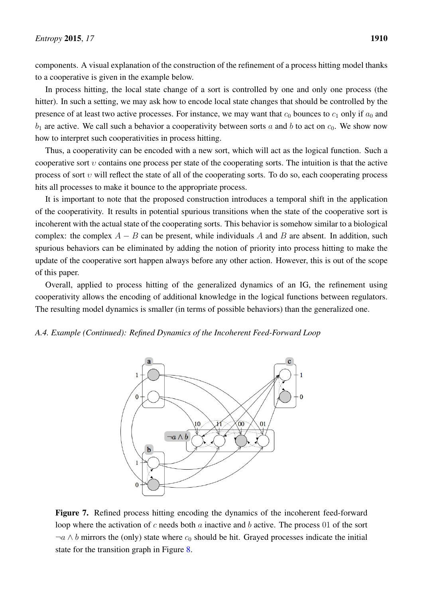components. A visual explanation of the construction of the refinement of a process hitting model thanks to a cooperative is given in the example below.

In process hitting, the local state change of a sort is controlled by one and only one process (the hitter). In such a setting, we may ask how to encode local state changes that should be controlled by the presence of at least two active processes. For instance, we may want that  $c_0$  bounces to  $c_1$  only if  $a_0$  and  $b_1$  are active. We call such a behavior a cooperativity between sorts a and b to act on  $c_0$ . We show now how to interpret such cooperativities in process hitting.

Thus, a cooperativity can be encoded with a new sort, which will act as the logical function. Such a cooperative sort  $v$  contains one process per state of the cooperating sorts. The intuition is that the active process of sort  $v$  will reflect the state of all of the cooperating sorts. To do so, each cooperating process hits all processes to make it bounce to the appropriate process.

It is important to note that the proposed construction introduces a temporal shift in the application of the cooperativity. It results in potential spurious transitions when the state of the cooperative sort is incoherent with the actual state of the cooperating sorts. This behavior is somehow similar to a biological complex: the complex  $A - B$  can be present, while individuals A and B are absent. In addition, such spurious behaviors can be eliminated by adding the notion of priority into process hitting to make the update of the cooperative sort happen always before any other action. However, this is out of the scope of this paper.

Overall, applied to process hitting of the generalized dynamics of an IG, the refinement using cooperativity allows the encoding of additional knowledge in the logical functions between regulators. The resulting model dynamics is smaller (in terms of possible behaviors) than the generalized one.

<span id="page-14-0"></span>*A.4. Example (Continued): Refined Dynamics of the Incoherent Feed-Forward Loop*



Figure 7. Refined process hitting encoding the dynamics of the incoherent feed-forward loop where the activation of  $c$  needs both  $a$  inactive and  $b$  active. The process 01 of the sort  $\neg a \wedge b$  mirrors the (only) state where  $c_0$  should be hit. Grayed processes indicate the initial state for the transition graph in Figure [8.](#page-15-1)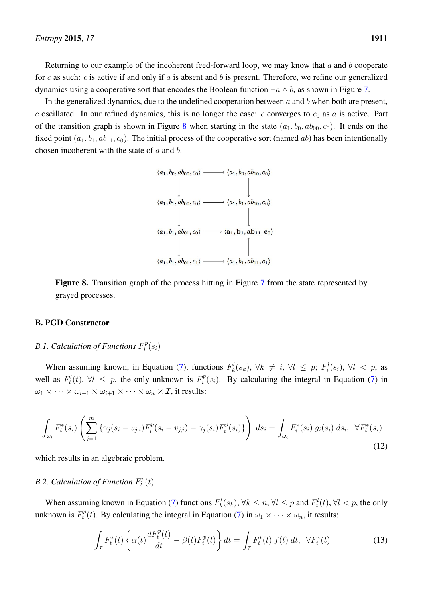Returning to our example of the incoherent feed-forward loop, we may know that a and b cooperate for c as such: c is active if and only if a is absent and b is present. Therefore, we refine our generalized dynamics using a cooperative sort that encodes the Boolean function  $\neg a \wedge b$ , as shown in Figure [7.](#page-14-0)

<span id="page-15-1"></span>In the generalized dynamics, due to the undefined cooperation between  $a$  and  $b$  when both are present,  $c$  oscillated. In our refined dynamics, this is no longer the case:  $c$  converges to  $c_0$  as  $a$  is active. Part of the transition graph is shown in Figure [8](#page-15-1) when starting in the state  $(a_1, b_0, ab_{00}, c_0)$ . It ends on the fixed point  $(a_1, b_1, ab_{11}, c_0)$ . The initial process of the cooperative sort (named ab) has been intentionally chosen incoherent with the state of  $a$  and  $b$ .



Figure 8. Transition graph of the process hitting in Figure [7](#page-14-0) from the state represented by grayed processes.

# <span id="page-15-0"></span>B. PGD Constructor

#### **B.1. Calculation of Functions**  $F_i^p$  $\binom{p}{i}(s_i)$

When assuming known, in Equation [\(7\)](#page-5-0), functions  $F_k^l(s_k)$ ,  $\forall k \neq i$ ,  $\forall l \leq p$ ;  $F_i^l(s_i)$ ,  $\forall l < p$ , as well as  $F_t^l(t)$ ,  $\forall l \leq p$ , the only unknown is  $F_i^p$  $i^{p}(s_i)$ . By calculating the integral in Equation [\(7\)](#page-5-0) in  $\omega_1 \times \cdots \times \omega_{i-1} \times \omega_{i+1} \times \cdots \times \omega_n \times \mathcal{I}$ , it results:

$$
\int_{\omega_i} F_i^*(s_i) \left( \sum_{j=1}^m \left\{ \gamma_j (s_i - v_{j,i}) F_i^p(s_i - v_{j,i}) - \gamma_j (s_i) F_i^p(s_i) \right\} \right) \, ds_i = \int_{\omega_i} F_i^*(s_i) \, g_i(s_i) \, ds_i, \ \ \forall F_i^*(s_i)
$$
\n(12)

which results in an algebraic problem.

#### **B.2. Calculation of Function**  $F_t^p$  $t^p(t)$

When assuming known in Equation [\(7\)](#page-5-0) functions  $F_k^l(s_k)$ ,  $\forall k \leq n, \forall l \leq p$  and  $F_k^l(t)$ ,  $\forall l < p$ , the only unknown is  $F_t^p$  $t_t^{(p)}(t)$ . By calculating the integral in Equation [\(7\)](#page-5-0) in  $\omega_1 \times \cdots \times \omega_n$ , it results:

$$
\int_{\mathcal{I}} F_t^*(t) \left\{ \alpha(t) \frac{dF_t^p(t)}{dt} - \beta(t) F_t^p(t) \right\} dt = \int_{\mathcal{I}} F_t^*(t) f(t) dt, \ \forall F_t^*(t)
$$
\n(13)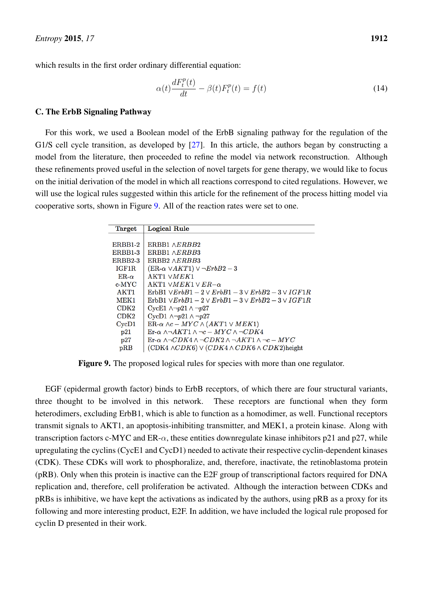$$
\alpha(t)\frac{dF_t^p(t)}{dt} - \beta(t)F_t^p(t) = f(t)
$$
\n(14)

#### <span id="page-16-0"></span>C. The ErbB Signaling Pathway

For this work, we used a Boolean model of the ErbB signaling pathway for the regulation of the G1/S cell cycle transition, as developed by [\[27\]](#page-19-3). In this article, the authors began by constructing a model from the literature, then proceeded to refine the model via network reconstruction. Although these refinements proved useful in the selection of novel targets for gene therapy, we would like to focus on the initial derivation of the model in which all reactions correspond to cited regulations. However, we will use the logical rules suggested within this article for the refinement of the process hitting model via cooperative sorts, shown in Figure [9.](#page-16-1) All of the reaction rates were set to one.

<span id="page-16-1"></span>

| <b>Target</b>  | <b>Logical Rule</b>                                                                   |
|----------------|---------------------------------------------------------------------------------------|
|                |                                                                                       |
| <b>ERBB1-2</b> | ERBB1 AERBB2                                                                          |
| ERBB1-3        | ERBB1 AERBB3                                                                          |
| ERBB2-3        | ERBB2 AERBB3                                                                          |
| IGF1R          | $(ER-\alpha \vee AKT1) \vee \neg ErbB2-3$                                             |
| $ER-\alpha$    | AKT1 VMEK1                                                                            |
| $c-MYC$        | AKT1 $\vee$ MEK1 $\vee$ ER- $\alpha$                                                  |
| AKT1           | $ErbB1 \vee ErbB1 - 2 \vee ErbB1 - 3 \vee ErbB2 - 3 \vee IGF1R$                       |
| MEK1           | $ErbB1 \vee ErbB1 = 2 \vee ErbB1 = 3 \vee ErbB2 = 3 \vee IGF1R$                       |
| CDK2           | CycE1 $\land \neg p21 \land \neg p27$                                                 |
| CDK2           | CycD1 $\land \neg p21 \land \neg p27$                                                 |
| CycD1          | ER- $\alpha \wedge c - MYC \wedge (AKT1 \vee MEK1)$                                   |
| p21            | Er- $\alpha \wedge \neg AKT1 \wedge \neg c-MYC \wedge \neg CDK4$                      |
| p27            | $\text{Er-}\alpha \land \neg CDK4 \land \neg CDK2 \land \neg AKT1 \land \neg c - MYC$ |
| pRB            | $(CDK4 \wedge CDK6) \vee (CDK4 \wedge CDK6 \wedge CDK2)$ height                       |

Figure 9. The proposed logical rules for species with more than one regulator.

EGF (epidermal growth factor) binds to ErbB receptors, of which there are four structural variants, three thought to be involved in this network. These receptors are functional when they form heterodimers, excluding ErbB1, which is able to function as a homodimer, as well. Functional receptors transmit signals to AKT1, an apoptosis-inhibiting transmitter, and MEK1, a protein kinase. Along with transcription factors c-MYC and ER- $\alpha$ , these entities downregulate kinase inhibitors p21 and p27, while upregulating the cyclins (CycE1 and CycD1) needed to activate their respective cyclin-dependent kinases (CDK). These CDKs will work to phosphoralize, and, therefore, inactivate, the retinoblastoma protein (pRB). Only when this protein is inactive can the E2F group of transcriptional factors required for DNA replication and, therefore, cell proliferation be activated. Although the interaction between CDKs and pRBs is inhibitive, we have kept the activations as indicated by the authors, using pRB as a proxy for its following and more interesting product, E2F. In addition, we have included the logical rule proposed for cyclin D presented in their work.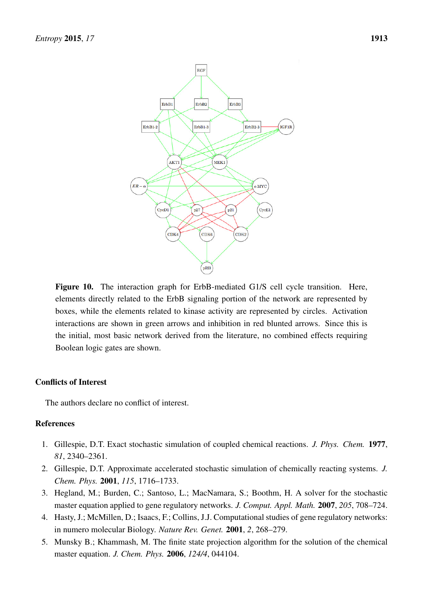

Figure 10. The interaction graph for ErbB-mediated G1/S cell cycle transition. Here, elements directly related to the ErbB signaling portion of the network are represented by boxes, while the elements related to kinase activity are represented by circles. Activation interactions are shown in green arrows and inhibition in red blunted arrows. Since this is the initial, most basic network derived from the literature, no combined effects requiring Boolean logic gates are shown.

# Conflicts of Interest

The authors declare no conflict of interest.

# **References**

- <span id="page-17-0"></span>1. Gillespie, D.T. Exact stochastic simulation of coupled chemical reactions. *J. Phys. Chem.* 1977, *81*, 2340–2361.
- 2. Gillespie, D.T. Approximate accelerated stochastic simulation of chemically reacting systems. *J. Chem. Phys.* 2001, *115*, 1716–1733.
- 3. Hegland, M.; Burden, C.; Santoso, L.; MacNamara, S.; Boothm, H. A solver for the stochastic master equation applied to gene regulatory networks. *J. Comput. Appl. Math.* 2007, *205*, 708–724.
- 4. Hasty, J.; McMillen, D.; Isaacs, F.; Collins, J.J. Computational studies of gene regulatory networks: in numero molecular Biology. *Nature Rev. Genet.* 2001, *2*, 268–279.
- 5. Munsky B.; Khammash, M. The finite state projection algorithm for the solution of the chemical master equation. *J. Chem. Phys.* 2006, *124/4*, 044104.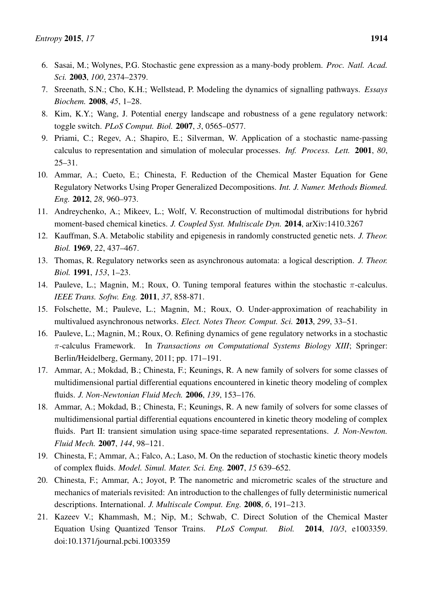- 6. Sasai, M.; Wolynes, P.G. Stochastic gene expression as a many-body problem. *Proc. Natl. Acad. Sci.* 2003, *100*, 2374–2379.
- 7. Sreenath, S.N.; Cho, K.H.; Wellstead, P. Modeling the dynamics of signalling pathways. *Essays Biochem.* 2008, *45*, 1–28.
- 8. Kim, K.Y.; Wang, J. Potential energy landscape and robustness of a gene regulatory network: toggle switch. *PLoS Comput. Biol.* 2007, *3*, 0565–0577.
- <span id="page-18-10"></span>9. Priami, C.; Regev, A.; Shapiro, E.; Silverman, W. Application of a stochastic name-passing calculus to representation and simulation of molecular processes. *Inf. Process. Lett.* 2001, *80*, 25–31.
- <span id="page-18-6"></span>10. Ammar, A.; Cueto, E.; Chinesta, F. Reduction of the Chemical Master Equation for Gene Regulatory Networks Using Proper Generalized Decompositions. *Int. J. Numer. Methods Biomed. Eng.* 2012, *28*, 960–973.
- <span id="page-18-0"></span>11. Andreychenko, A.; Mikeev, L.; Wolf, V. Reconstruction of multimodal distributions for hybrid moment-based chemical kinetics. *J. Coupled Syst. Multiscale Dyn.* 2014, arXiv:1410.3267
- <span id="page-18-1"></span>12. Kauffman, S.A. Metabolic stability and epigenesis in randomly constructed genetic nets. *J. Theor. Biol.* 1969, *22*, 437–467.
- <span id="page-18-2"></span>13. Thomas, R. Regulatory networks seen as asynchronous automata: a logical description. *J. Theor. Biol.* 1991, *153*, 1–23.
- <span id="page-18-3"></span>14. Pauleve, L.; Magnin, M.; Roux, O. Tuning temporal features within the stochastic  $\pi$ -calculus. *IEEE Trans. Softw. Eng.* 2011, *37*, 858-871.
- <span id="page-18-4"></span>15. Folschette, M.; Pauleve, L.; Magnin, M.; Roux, O. Under-approximation of reachability in multivalued asynchronous networks. *Elect. Notes Theor. Comput. Sci.* 2013, *299*, 33–51.
- <span id="page-18-5"></span>16. Pauleve, L.; Magnin, M.; Roux, O. Refining dynamics of gene regulatory networks in a stochastic π-calculus Framework. In *Transactions on Computational Systems Biology XIII*; Springer: Berlin/Heidelberg, Germany, 2011; pp. 171–191.
- <span id="page-18-7"></span>17. Ammar, A.; Mokdad, B.; Chinesta, F.; Keunings, R. A new family of solvers for some classes of multidimensional partial differential equations encountered in kinetic theory modeling of complex fluids. *J. Non-Newtonian Fluid Mech.* 2006, *139*, 153–176.
- 18. Ammar, A.; Mokdad, B.; Chinesta, F.; Keunings, R. A new family of solvers for some classes of multidimensional partial differential equations encountered in kinetic theory modeling of complex fluids. Part II: transient simulation using space-time separated representations. *J. Non-Newton. Fluid Mech.* 2007, *144*, 98–121.
- 19. Chinesta, F.; Ammar, A.; Falco, A.; Laso, M. On the reduction of stochastic kinetic theory models of complex fluids. *Model. Simul. Mater. Sci. Eng.* 2007, *15* 639–652.
- <span id="page-18-8"></span>20. Chinesta, F.; Ammar, A.; Joyot, P. The nanometric and micrometric scales of the structure and mechanics of materials revisited: An introduction to the challenges of fully deterministic numerical descriptions. International. *J. Multiscale Comput. Eng.* 2008, *6*, 191–213.
- <span id="page-18-9"></span>21. Kazeev V.; Khammash, M.; Nip, M.; Schwab, C. Direct Solution of the Chemical Master Equation Using Quantized Tensor Trains. *PLoS Comput. Biol.* 2014, *10/3*, e1003359. doi:10.1371/journal.pcbi.1003359